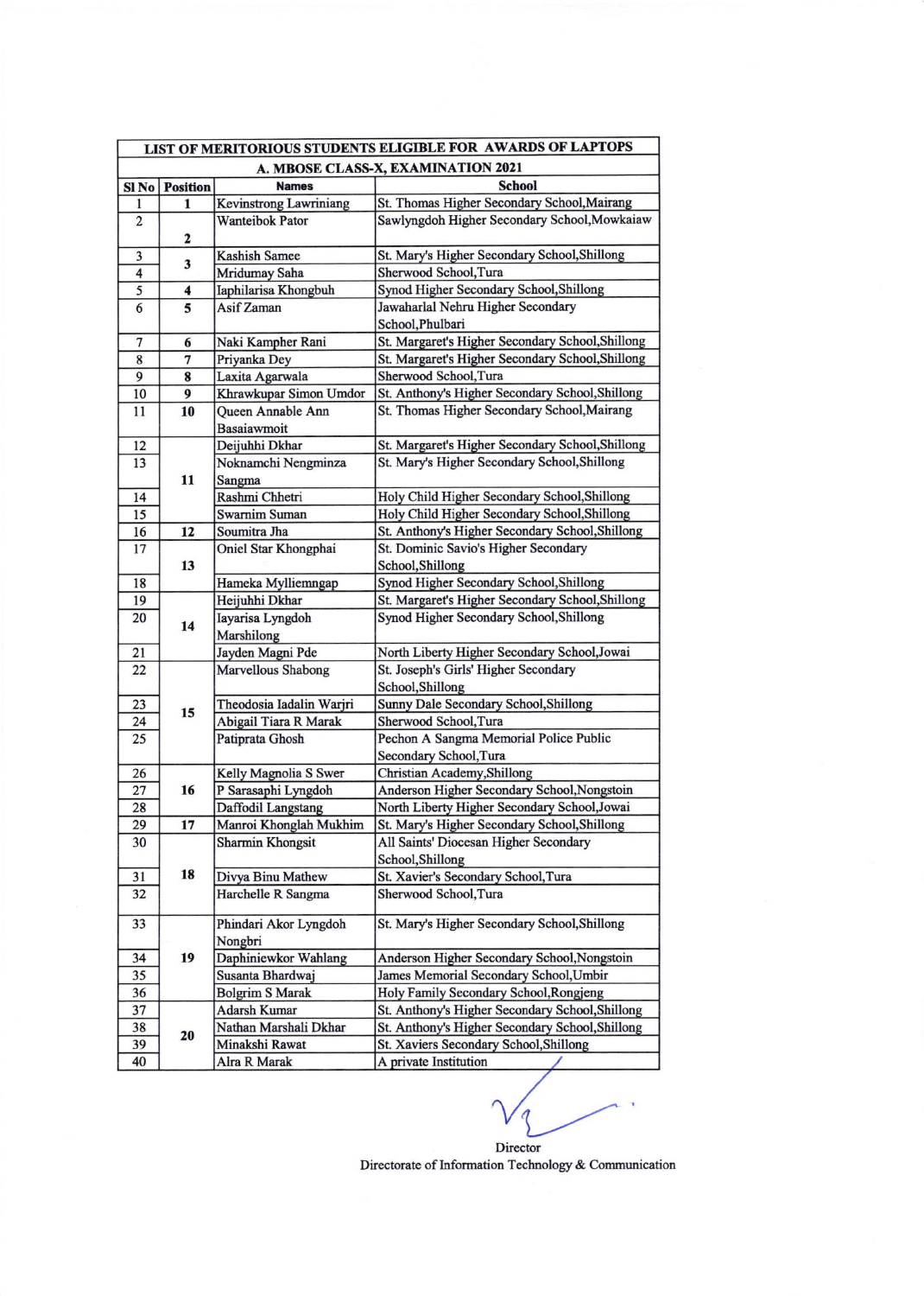| LIST OF MERITORIOUS STUDENTS ELIGIBLE FOR AWARDS OF LAPTOPS |                 |                               |                                                             |  |  |  |
|-------------------------------------------------------------|-----------------|-------------------------------|-------------------------------------------------------------|--|--|--|
| A. MBOSE CLASS-X, EXAMINATION 2021                          |                 |                               |                                                             |  |  |  |
| $SI$ No                                                     | <b>Position</b> | <b>Names</b>                  | <b>School</b>                                               |  |  |  |
| 1                                                           | 1               | <b>Kevinstrong Lawriniang</b> | St. Thomas Higher Secondary School, Mairang                 |  |  |  |
| $\overline{\mathbf{c}}$                                     |                 | <b>Wanteibok Pator</b>        | Sawlyngdoh Higher Secondary School, Mowkaiaw                |  |  |  |
|                                                             | 2               |                               |                                                             |  |  |  |
| 3                                                           | 3               | <b>Kashish Samee</b>          | St. Mary's Higher Secondary School, Shillong                |  |  |  |
| $\overline{\mathbf{4}}$                                     |                 | Mridumay Saha                 | Sherwood School, Tura                                       |  |  |  |
| 5                                                           | 4               | Iaphilarisa Khongbuh          | Synod Higher Secondary School, Shillong                     |  |  |  |
| 6                                                           | 5               | Asif Zaman                    | Jawaharlal Nehru Higher Secondary                           |  |  |  |
|                                                             |                 |                               | School, Phulbari                                            |  |  |  |
| 7                                                           | 6               | Naki Kampher Rani             | St. Margaret's Higher Secondary School, Shillong            |  |  |  |
| 8                                                           | 7               | Priyanka Dey                  | St. Margaret's Higher Secondary School, Shillong            |  |  |  |
| 9                                                           | 8               | Laxita Agarwala               | Sherwood School, Tura                                       |  |  |  |
| 10                                                          | 9               | Khrawkupar Simon Umdor        | St. Anthony's Higher Secondary School, Shillong             |  |  |  |
| 11                                                          | 10              | Queen Annable Ann             | St. Thomas Higher Secondary School, Mairang                 |  |  |  |
|                                                             |                 | Basaiawmoit                   |                                                             |  |  |  |
| 12                                                          |                 | Deijuhhi Dkhar                | St. Margaret's Higher Secondary School, Shillong            |  |  |  |
| 13                                                          |                 | Noknamchi Nengminza           | St. Mary's Higher Secondary School, Shillong                |  |  |  |
|                                                             | 11              | Sangma                        |                                                             |  |  |  |
| 14                                                          |                 | Rashmi Chhetri                | Holy Child Higher Secondary School, Shillong                |  |  |  |
| 15                                                          |                 | Swarnim Suman                 | Holy Child Higher Secondary School, Shillong                |  |  |  |
| 16                                                          | 12              | Soumitra Jha                  | St. Anthony's Higher Secondary School, Shillong             |  |  |  |
| 17                                                          | 13              | Oniel Star Khongphai          | St. Dominic Savio's Higher Secondary                        |  |  |  |
| 18                                                          |                 | Hameka Mylliemngap            | School, Shillong<br>Synod Higher Secondary School, Shillong |  |  |  |
| 19                                                          |                 | Heijuhhi Dkhar                | St. Margaret's Higher Secondary School, Shillong            |  |  |  |
| 20                                                          |                 | Iayarisa Lyngdoh              | Synod Higher Secondary School, Shillong                     |  |  |  |
|                                                             | 14              | Marshilong                    |                                                             |  |  |  |
| 21                                                          |                 | Jayden Magni Pde              | North Liberty Higher Secondary School, Jowai                |  |  |  |
| 22                                                          |                 | Marvellous Shabong            | St. Joseph's Girls' Higher Secondary                        |  |  |  |
|                                                             |                 |                               | School, Shillong                                            |  |  |  |
| 23                                                          |                 | Theodosia Iadalin Warjri      | Sunny Dale Secondary School, Shillong                       |  |  |  |
| 24                                                          | 15              | Abigail Tiara R Marak         | Sherwood School, Tura                                       |  |  |  |
| 25                                                          |                 | Patiprata Ghosh               | Pechon A Sangma Memorial Police Public                      |  |  |  |
|                                                             |                 |                               | Secondary School, Tura                                      |  |  |  |
| 26                                                          |                 | Kelly Magnolia S Swer         | Christian Academy, Shillong                                 |  |  |  |
| 27                                                          | 16              | P Sarasaphi Lyngdoh           | Anderson Higher Secondary School, Nongstoin                 |  |  |  |
| 28                                                          |                 | Daffodil Langstang            | North Liberty Higher Secondary School, Jowai                |  |  |  |
| 29                                                          | 17              | Manroi Khonglah Mukhim        | St. Mary's Higher Secondary School, Shillong                |  |  |  |
| 30                                                          |                 | <b>Sharmin Khongsit</b>       | All Saints' Diocesan Higher Secondary                       |  |  |  |
|                                                             |                 |                               | School, Shillong                                            |  |  |  |
| 31                                                          | 18              | Divya Binu Mathew             | St. Xavier's Secondary School, Tura                         |  |  |  |
| 32                                                          |                 | Harchelle R Sangma            | Sherwood School, Tura                                       |  |  |  |
| 33                                                          |                 | Phindari Akor Lyngdoh         | St. Mary's Higher Secondary School, Shillong                |  |  |  |
|                                                             |                 | Nongbri                       |                                                             |  |  |  |
| 34                                                          | 19              | Daphiniewkor Wahlang          | Anderson Higher Secondary School, Nongstoin                 |  |  |  |
| 35                                                          |                 | Susanta Bhardwaj              | James Memorial Secondary School, Umbir                      |  |  |  |
| 36                                                          |                 | <b>Bolgrim S Marak</b>        | Holy Family Secondary School, Rongjeng                      |  |  |  |
| 37                                                          |                 | Adarsh Kumar                  | St. Anthony's Higher Secondary School, Shillong             |  |  |  |
| 38                                                          |                 | Nathan Marshali Dkhar         | St. Anthony's Higher Secondary School, Shillong             |  |  |  |
| 39                                                          | 20              | Minakshi Rawat                | St. Xaviers Secondary School, Shillong                      |  |  |  |
| 40                                                          |                 | Alra R Marak                  | A private Institution                                       |  |  |  |

Director Directorate of Information Technology & Communication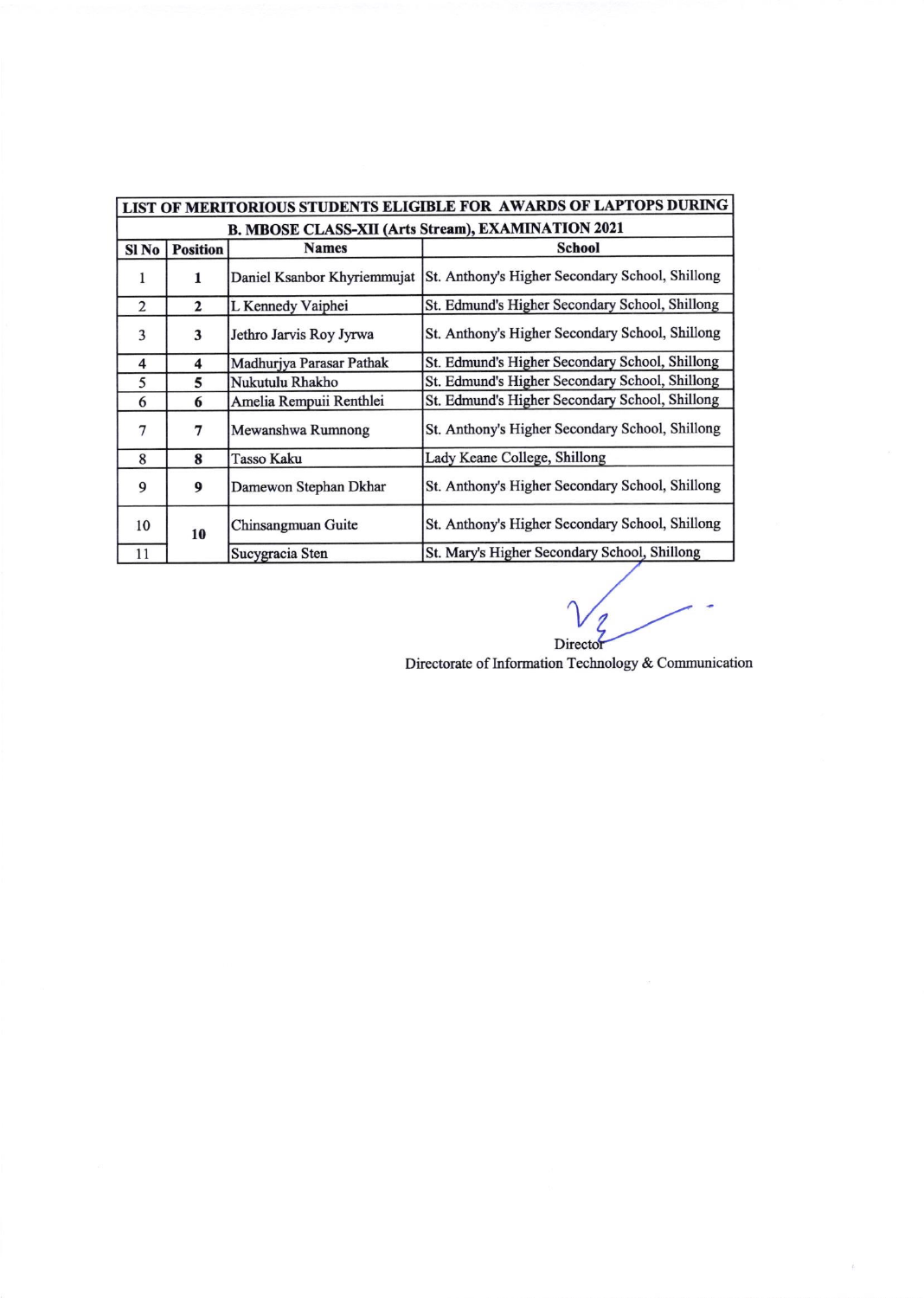| LIST OF MERITORIOUS STUDENTS ELIGIBLE FOR AWARDS OF LAPTOPS DURING |                 |                             |                                                 |  |  |  |  |
|--------------------------------------------------------------------|-----------------|-----------------------------|-------------------------------------------------|--|--|--|--|
| <b>B. MBOSE CLASS-XII (Arts Stream), EXAMINATION 2021</b>          |                 |                             |                                                 |  |  |  |  |
| Sl <sub>No</sub>                                                   | <b>Position</b> | <b>Names</b>                | <b>School</b>                                   |  |  |  |  |
| 1                                                                  | 1               | Daniel Ksanbor Khyriemmujat | St. Anthony's Higher Secondary School, Shillong |  |  |  |  |
| 2                                                                  | $\mathbf{2}$    | L Kennedy Vaiphei           | St. Edmund's Higher Secondary School, Shillong  |  |  |  |  |
| 3                                                                  | 3               | Jethro Jarvis Roy Jyrwa     | St. Anthony's Higher Secondary School, Shillong |  |  |  |  |
| $\overline{\mathbf{4}}$                                            | 4               | Madhurjya Parasar Pathak    | St. Edmund's Higher Secondary School, Shillong  |  |  |  |  |
| 5                                                                  | 5               | Nukutulu Rhakho             | St. Edmund's Higher Secondary School, Shillong  |  |  |  |  |
| 6                                                                  | 6               | Amelia Rempuii Renthlei     | St. Edmund's Higher Secondary School, Shillong  |  |  |  |  |
| 7                                                                  | 7               | Mewanshwa Rumnong           | St. Anthony's Higher Secondary School, Shillong |  |  |  |  |
| 8                                                                  | 8               | Tasso Kaku                  | Lady Keane College, Shillong                    |  |  |  |  |
| 9                                                                  | 9               | Damewon Stephan Dkhar       | St. Anthony's Higher Secondary School, Shillong |  |  |  |  |
| 10                                                                 | 10              | Chinsangmuan Guite          | St. Anthony's Higher Secondary School, Shillong |  |  |  |  |
| 11                                                                 |                 | Sucygracia Sten             | St. Mary's Higher Secondary School, Shillong    |  |  |  |  |

D

 $\frac{1}{\hbar^2}$ 

Directorate of Information Technology & Communication